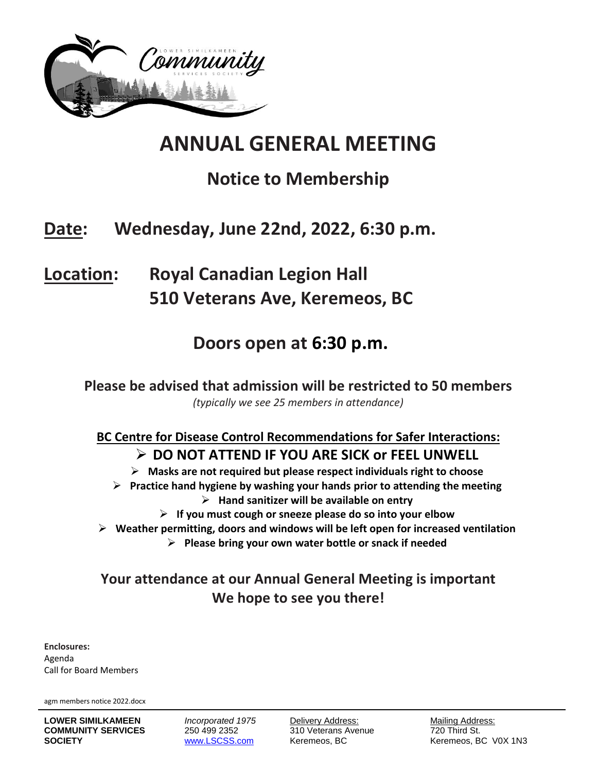

# **ANNUAL GENERAL MEETING**

# **Notice to Membership**

# **Date: Wednesday, June 22nd, 2022, 6:30 p.m.**

**Location: Royal Canadian Legion Hall 510 Veterans Ave, Keremeos, BC**

### **Doors open at 6:30 p.m.**

**Please be advised that admission will be restricted to 50 members**  *(typically we see 25 members in attendance)* 

**BC Centre for Disease Control Recommendations for Safer Interactions: DO NOT ATTEND IF YOU ARE SICK or FEEL UNWELL**

**Masks are not required but please respect individuals right to choose**

**Practice hand hygiene by washing your hands prior to attending the meeting**

**Hand sanitizer will be available on entry**

**If you must cough or sneeze please do so into your elbow**

**Weather permitting, doors and windows will be left open for increased ventilation**

**Please bring your own water bottle or snack if needed**

### **Your attendance at our Annual General Meeting is important We hope to see you there!**

**Enclosures:**  Agenda Call for Board Members

agm members notice 2022.docx

**LOWER SIMILKAMEEN** *Incorporated 1975* Delivery Address: Mailing Address: **COMMUNITY SERVICES** 250 499 2352 310 Veterans Avenue 720 Third St. **SOCIETY** WWW.LSCSS.com Keremeos, BC Keremeos, BC Keremeos, BC V0X 1N3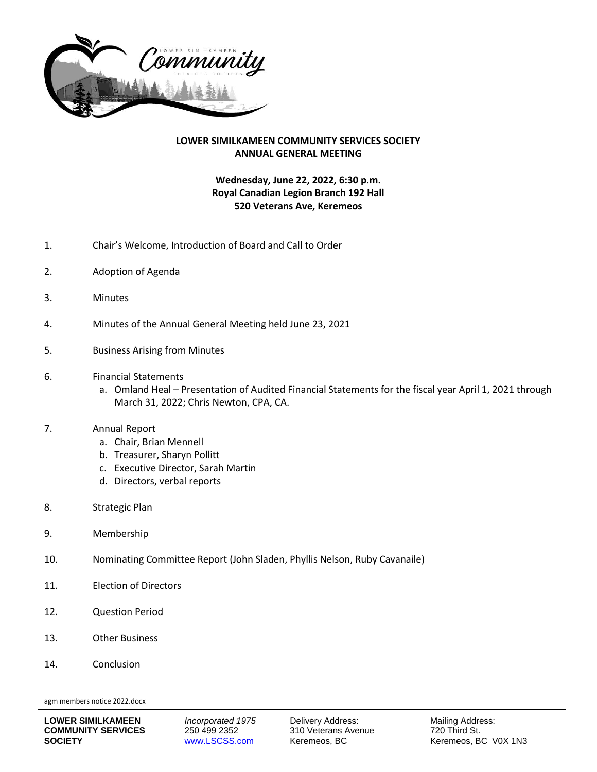

#### **LOWER SIMILKAMEEN COMMUNITY SERVICES SOCIETY ANNUAL GENERAL MEETING**

#### **Wednesday, June 22, 2022, 6:30 p.m. Royal Canadian Legion Branch 192 Hall 520 Veterans Ave, Keremeos**

- 1. Chair's Welcome, Introduction of Board and Call to Order
- 2. Adoption of Agenda
- 3. Minutes
- 4. Minutes of the Annual General Meeting held June 23, 2021
- 5. Business Arising from Minutes
- 6. Financial Statements
	- a. Omland Heal Presentation of Audited Financial Statements for the fiscal year April 1, 2021 through March 31, 2022; Chris Newton, CPA, CA.

#### 7. Annual Report

- a. Chair, Brian Mennell
- b. Treasurer, Sharyn Pollitt
- c. Executive Director, Sarah Martin
- d. Directors, verbal reports
- 8. Strategic Plan
- 9. Membership
- 10. Nominating Committee Report (John Sladen, Phyllis Nelson, Ruby Cavanaile)
- 11. Election of Directors
- 12. Question Period
- 13. Other Business
- 14. Conclusion

agm members notice 2022.docx